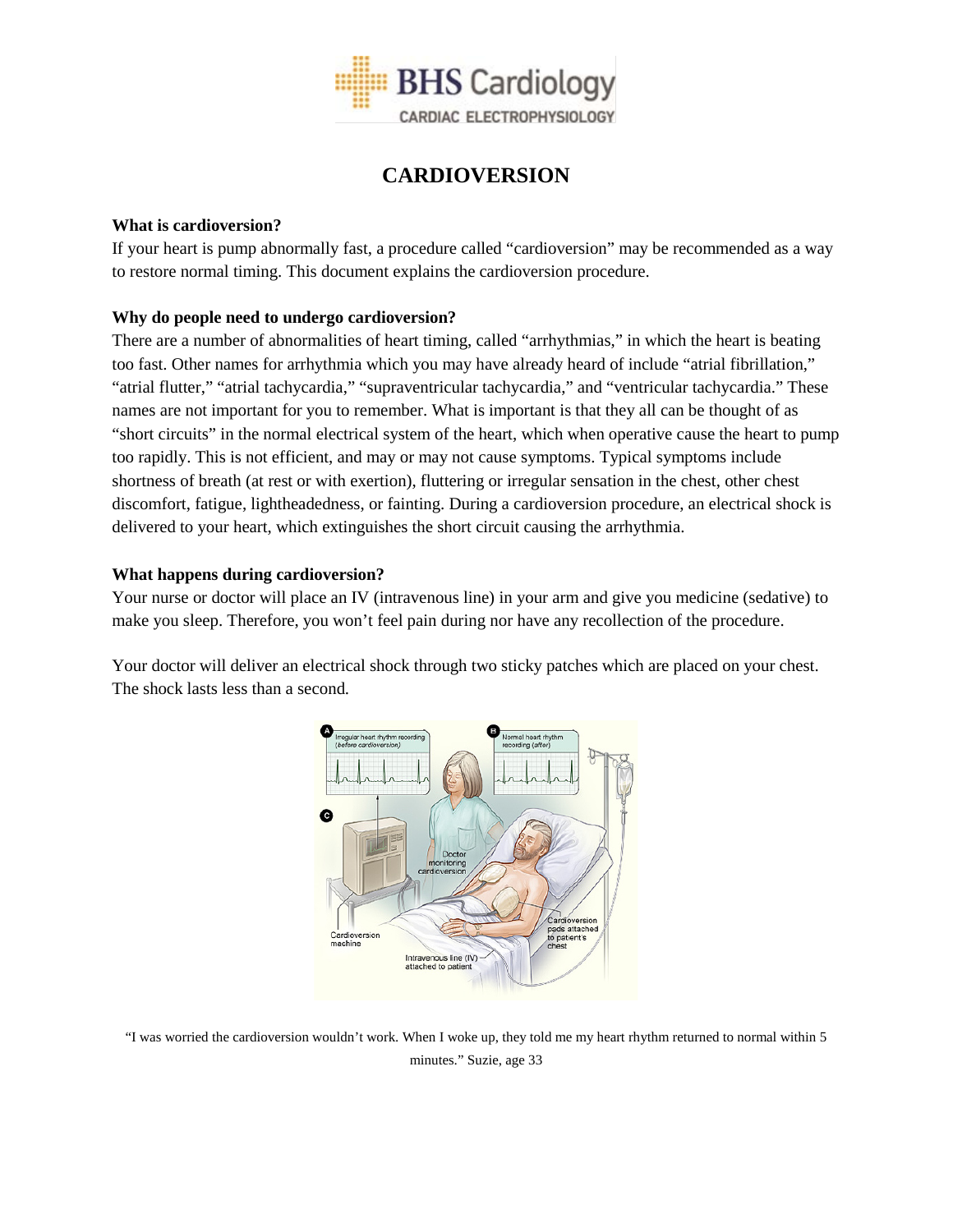

# **CARDIOVERSION**

## **What is cardioversion?**

If your heart is pump abnormally fast, a procedure called "cardioversion" may be recommended as a way to restore normal timing. This document explains the cardioversion procedure.

# **Why do people need to undergo cardioversion?**

There are a number of abnormalities of heart timing, called "arrhythmias," in which the heart is beating too fast. Other names for arrhythmia which you may have already heard of include "atrial fibrillation," "atrial flutter," "atrial tachycardia," "supraventricular tachycardia," and "ventricular tachycardia." These names are not important for you to remember. What is important is that they all can be thought of as "short circuits" in the normal electrical system of the heart, which when operative cause the heart to pump too rapidly. This is not efficient, and may or may not cause symptoms. Typical symptoms include shortness of breath (at rest or with exertion), fluttering or irregular sensation in the chest, other chest discomfort, fatigue, lightheadedness, or fainting. During a cardioversion procedure, an electrical shock is delivered to your heart, which extinguishes the short circuit causing the arrhythmia.

## **What happens during cardioversion?**

Your nurse or doctor will place an IV (intravenous line) in your arm and give you medicine (sedative) to make you sleep. Therefore, you won't feel pain during nor have any recollection of the procedure.

Your doctor will deliver an electrical shock through two sticky patches which are placed on your chest. The shock lasts less than a second.



"I was worried the cardioversion wouldn't work. When I woke up, they told me my heart rhythm returned to normal within 5 minutes." Suzie, age 33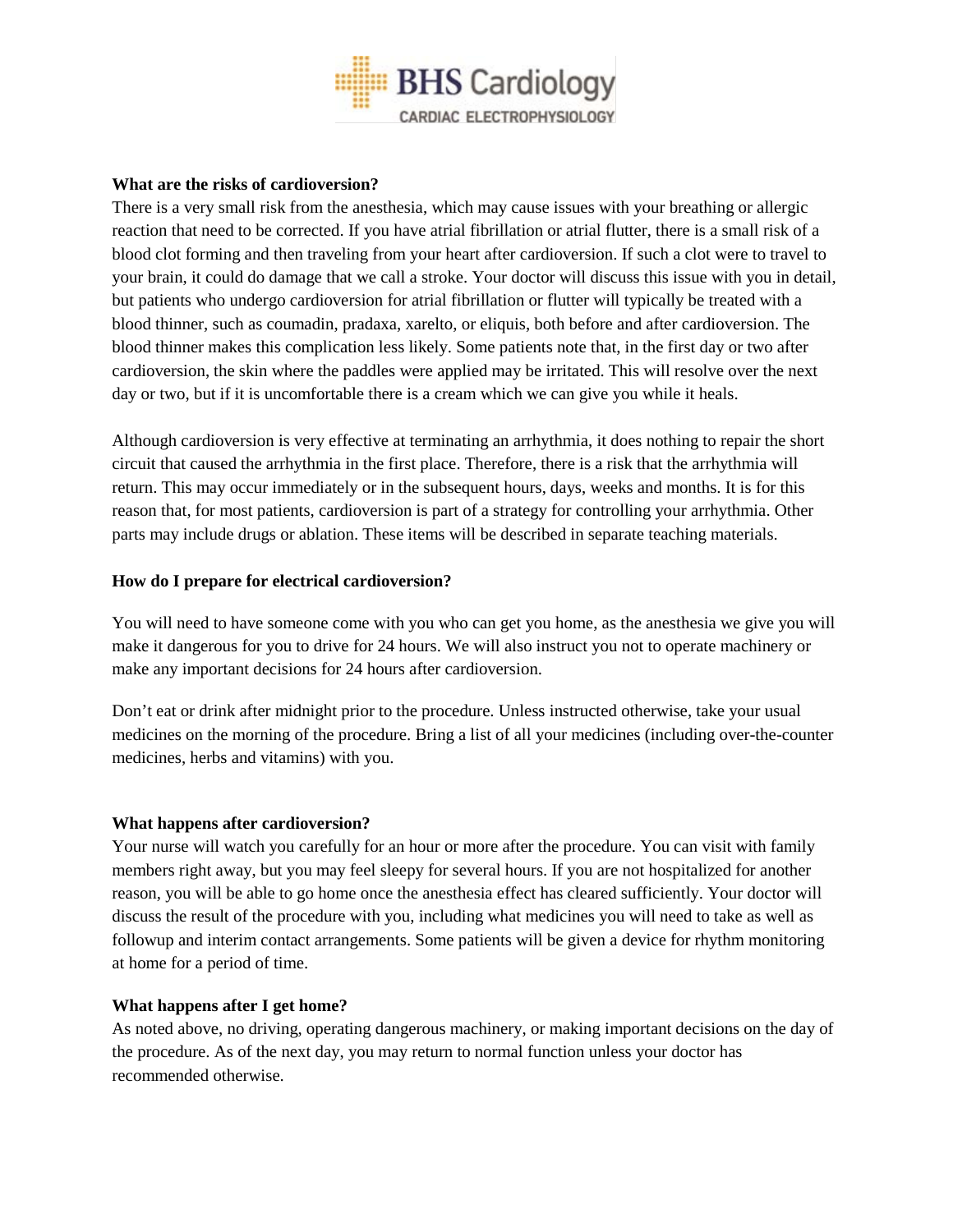

## **What are the risks of cardioversion?**

There is a very small risk from the anesthesia, which may cause issues with your breathing or allergic reaction that need to be corrected. If you have atrial fibrillation or atrial flutter, there is a small risk of a blood clot forming and then traveling from your heart after cardioversion. If such a clot were to travel to your brain, it could do damage that we call a stroke. Your doctor will discuss this issue with you in detail, but patients who undergo cardioversion for atrial fibrillation or flutter will typically be treated with a blood thinner, such as coumadin, pradaxa, xarelto, or eliquis, both before and after cardioversion. The blood thinner makes this complication less likely. Some patients note that, in the first day or two after cardioversion, the skin where the paddles were applied may be irritated. This will resolve over the next day or two, but if it is uncomfortable there is a cream which we can give you while it heals.

Although cardioversion is very effective at terminating an arrhythmia, it does nothing to repair the short circuit that caused the arrhythmia in the first place. Therefore, there is a risk that the arrhythmia will return. This may occur immediately or in the subsequent hours, days, weeks and months. It is for this reason that, for most patients, cardioversion is part of a strategy for controlling your arrhythmia. Other parts may include drugs or ablation. These items will be described in separate teaching materials.

#### **How do I prepare for electrical cardioversion?**

You will need to have someone come with you who can get you home, as the anesthesia we give you will make it dangerous for you to drive for 24 hours. We will also instruct you not to operate machinery or make any important decisions for 24 hours after cardioversion.

Don't eat or drink after midnight prior to the procedure. Unless instructed otherwise, take your usual medicines on the morning of the procedure. Bring a list of all your medicines (including over-the-counter medicines, herbs and vitamins) with you.

#### **What happens after cardioversion?**

Your nurse will watch you carefully for an hour or more after the procedure. You can visit with family members right away, but you may feel sleepy for several hours. If you are not hospitalized for another reason, you will be able to go home once the anesthesia effect has cleared sufficiently. Your doctor will discuss the result of the procedure with you, including what medicines you will need to take as well as followup and interim contact arrangements. Some patients will be given a device for rhythm monitoring at home for a period of time.

#### **What happens after I get home?**

As noted above, no driving, operating dangerous machinery, or making important decisions on the day of the procedure. As of the next day, you may return to normal function unless your doctor has recommended otherwise.